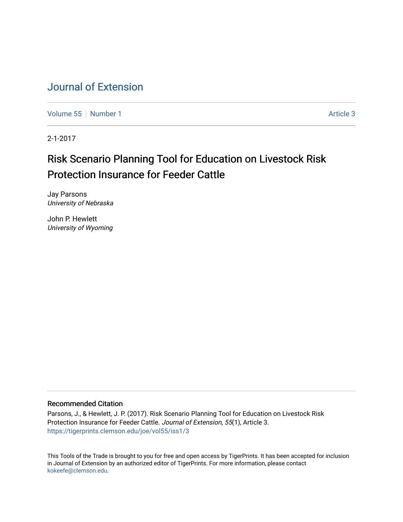# [Journal of Extension](https://tigerprints.clemson.edu/joe)

[Volume 55](https://tigerprints.clemson.edu/joe/vol55) [Number 1](https://tigerprints.clemson.edu/joe/vol55/iss1) Article 3

2-1-2017

# Risk Scenario Planning Tool for Education on Livestock Risk Protection Insurance for Feeder Cattle

Jay Parsons University of Nebraska

John P. Hewlett University of Wyoming

### Recommended Citation

Parsons, J., & Hewlett, J. P. (2017). Risk Scenario Planning Tool for Education on Livestock Risk Protection Insurance for Feeder Cattle. Journal of Extension, 55(1), Article 3. <https://tigerprints.clemson.edu/joe/vol55/iss1/3>

This Tools of the Trade is brought to you for free and open access by TigerPrints. It has been accepted for inclusion in Journal of Extension by an authorized editor of TigerPrints. For more information, please contact [kokeefe@clemson.edu](mailto:kokeefe@clemson.edu).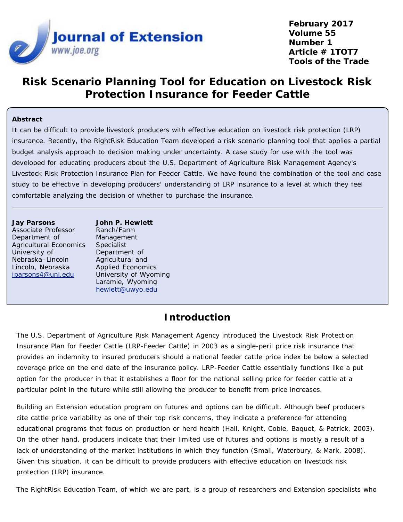

**February 2017 Volume 55 Number 1 Article # 1TOT7 Tools of the Trade**

# **Risk Scenario Planning Tool for Education on Livestock Risk Protection Insurance for Feeder Cattle**

### **Abstract**

It can be difficult to provide livestock producers with effective education on livestock risk protection (LRP) insurance. Recently, the RightRisk Education Team developed a risk scenario planning tool that applies a partial budget analysis approach to decision making under uncertainty. A case study for use with the tool was developed for educating producers about the U.S. Department of Agriculture Risk Management Agency's Livestock Risk Protection Insurance Plan for Feeder Cattle. We have found the combination of the tool and case study to be effective in developing producers' understanding of LRP insurance to a level at which they feel comfortable analyzing the decision of whether to purchase the insurance.

#### **Jay Parsons**

Associate Professor Department of Agricultural Economics University of Nebraska–Lincoln Lincoln, Nebraska [jparsons4@unl.edu](mailto:jparsons4@unl.edu)

**John P. Hewlett** Ranch/Farm Management Specialist Department of Agricultural and Applied Economics University of Wyoming Laramie, Wyoming [hewlett@uwyo.edu](mailto:hewlett@uwyo.edu)

## **Introduction**

The U.S. Department of Agriculture Risk Management Agency introduced the Livestock Risk Protection Insurance Plan for Feeder Cattle (LRP-Feeder Cattle) in 2003 as a single-peril price risk insurance that provides an indemnity to insured producers should a national feeder cattle price index be below a selected coverage price on the end date of the insurance policy. LRP-Feeder Cattle essentially functions like a put option for the producer in that it establishes a floor for the national selling price for feeder cattle at a particular point in the future while still allowing the producer to benefit from price increases.

Building an Extension education program on futures and options can be difficult. Although beef producers cite cattle price variability as one of their top risk concerns, they indicate a preference for attending educational programs that focus on production or herd health (Hall, Knight, Coble, Baquet, & Patrick, 2003). On the other hand, producers indicate that their limited use of futures and options is mostly a result of a lack of understanding of the market institutions in which they function (Small, Waterbury, & Mark, 2008). Given this situation, it can be difficult to provide producers with effective education on livestock risk protection (LRP) insurance.

The RightRisk Education Team, of which we are part, is a group of researchers and Extension specialists who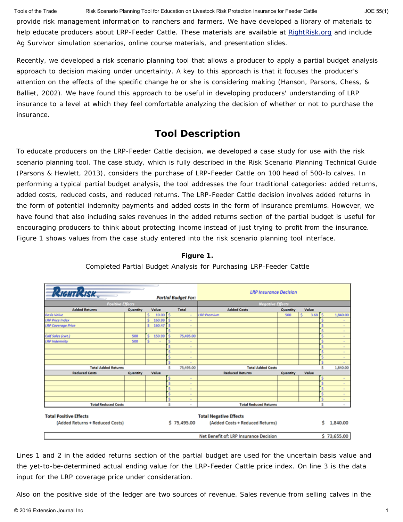Tools of the Trade Risk Scenario Planning Tool for Education on Livestock Risk Protection Insurance for Feeder Cattle JOE 55(1)

provide risk management information to ranchers and farmers. We have developed a library of materials to help educate producers about LRP-Feeder Cattle. These materials are available at [RightRisk.org](http://www.rightrisk.org/) and include Ag Survivor simulation scenarios, online course materials, and presentation slides.

Recently, we developed a risk scenario planning tool that allows a producer to apply a partial budget analysis approach to decision making under uncertainty. A key to this approach is that it focuses the producer's attention on the effects of the specific change he or she is considering making (Hanson, Parsons, Chess, & Balliet, 2002). We have found this approach to be useful in developing producers' understanding of LRP insurance to a level at which they feel comfortable analyzing the decision of whether or not to purchase the insurance.

# **Tool Description**

To educate producers on the LRP-Feeder Cattle decision, we developed a case study for use with the risk scenario planning tool. The case study, which is fully described in the Risk Scenario Planning Technical Guide (Parsons & Hewlett, 2013), considers the purchase of LRP-Feeder Cattle on 100 head of 500-lb calves. In performing a typical partial budget analysis, the tool addresses the four traditional categories: added returns, added costs, reduced costs, and reduced returns. The LRP-Feeder Cattle decision involves added returns in the form of potential indemnity payments and added costs in the form of insurance premiums. However, we have found that also including sales revenues in the added returns section of the partial budget is useful for encouraging producers to think about protecting income instead of just trying to profit from the insurance. Figure 1 shows values from the case study entered into the risk scenario planning tool interface.

### **Figure 1.**



Completed Partial Budget Analysis for Purchasing LRP-Feeder Cattle

Lines 1 and 2 in the added returns section of the partial budget are used for the uncertain basis value and the yet-to-be-determined actual ending value for the LRP-Feeder Cattle price index. On line 3 is the data input for the LRP coverage price under consideration.

Also on the positive side of the ledger are two sources of revenue. Sales revenue from selling calves in the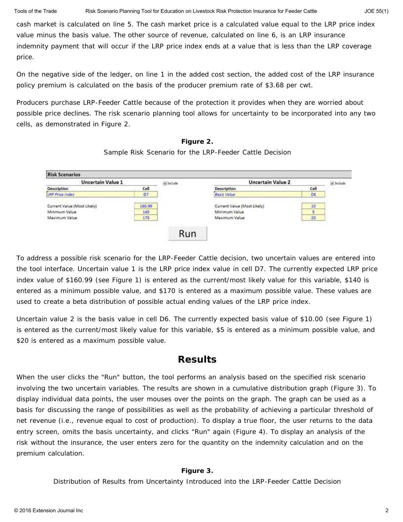cash market is calculated on line 5. The cash market price is a calculated value equal to the LRP price index value minus the basis value. The other source of revenue, calculated on line 6, is an LRP insurance indemnity payment that will occur if the LRP price index ends at a value that is less than the LRP coverage price.

On the negative side of the ledger, on line 1 in the added cost section, the added cost of the LRP insurance policy premium is calculated on the basis of the producer premium rate of \$3.68 per cwt.

Producers purchase LRP-Feeder Cattle because of the protection it provides when they are worried about possible price declines. The risk scenario planning tool allows for uncertainty to be incorporated into any two cells, as demonstrated in Figure 2.

### **Figure 2.**

Sample Risk Scenario for the LRP-Feeder Cattle Decision

| <b>Uncertain Value 1</b>    |        | Gi Include | <b>Uncertain Value 2</b>    |      | (2) Include |
|-----------------------------|--------|------------|-----------------------------|------|-------------|
| <b>Description</b>          | Cell   |            | <b>Description</b>          | Cell |             |
| <b>LRP Price Index</b>      | D7     |            | <b>Basis Value</b>          | D6   |             |
| Current Value (Most Likely) | 160.99 |            | Current Value (Most Likely) | 10   |             |
| Minimum Value               | 140    |            | Minimum Value               |      |             |
| Maximum Value               | 170    |            | Maximum Value               | 20   |             |

To address a possible risk scenario for the LRP-Feeder Cattle decision, two uncertain values are entered into the tool interface. Uncertain value 1 is the LRP price index value in cell D7. The currently expected LRP price index value of \$160.99 (see Figure 1) is entered as the current/most likely value for this variable, \$140 is entered as a minimum possible value, and \$170 is entered as a maximum possible value. These values are used to create a beta distribution of possible actual ending values of the LRP price index.

Uncertain value 2 is the basis value in cell D6. The currently expected basis value of \$10.00 (see Figure 1) is entered as the current/most likely value for this variable, \$5 is entered as a minimum possible value, and \$20 is entered as a maximum possible value.

## **Results**

When the user clicks the "Run" button, the tool performs an analysis based on the specified risk scenario involving the two uncertain variables. The results are shown in a cumulative distribution graph (Figure 3). To display individual data points, the user mouses over the points on the graph. The graph can be used as a basis for discussing the range of possibilities as well as the probability of achieving a particular threshold of net revenue (i.e., revenue equal to cost of production). To display a true floor, the user returns to the data entry screen, omits the basis uncertainty, and clicks "Run" again (Figure 4). To display an analysis of the risk without the insurance, the user enters zero for the quantity on the indemnity calculation and on the premium calculation.

### **Figure 3.**

Distribution of Results from Uncertainty Introduced into the LRP-Feeder Cattle Decision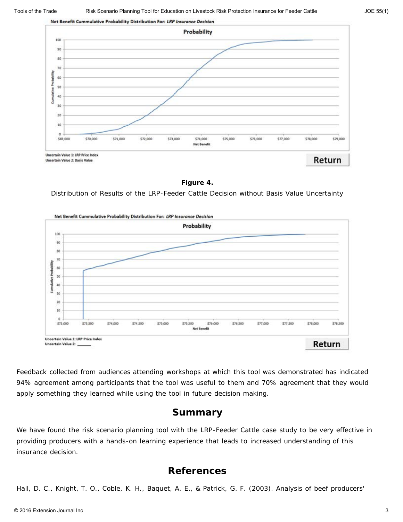

**Figure 4.**

Distribution of Results of the LRP-Feeder Cattle Decision without Basis Value Uncertainty



Feedback collected from audiences attending workshops at which this tool was demonstrated has indicated 94% agreement among participants that the tool was useful to them and 70% agreement that they would apply something they learned while using the tool in future decision making.

## **Summary**

We have found the risk scenario planning tool with the LRP-Feeder Cattle case study to be very effective in providing producers with a hands-on learning experience that leads to increased understanding of this insurance decision.

### **References**

Hall, D. C., Knight, T. O., Coble, K. H., Baquet, A. E., & Patrick, G. F. (2003). Analysis of beef producers'